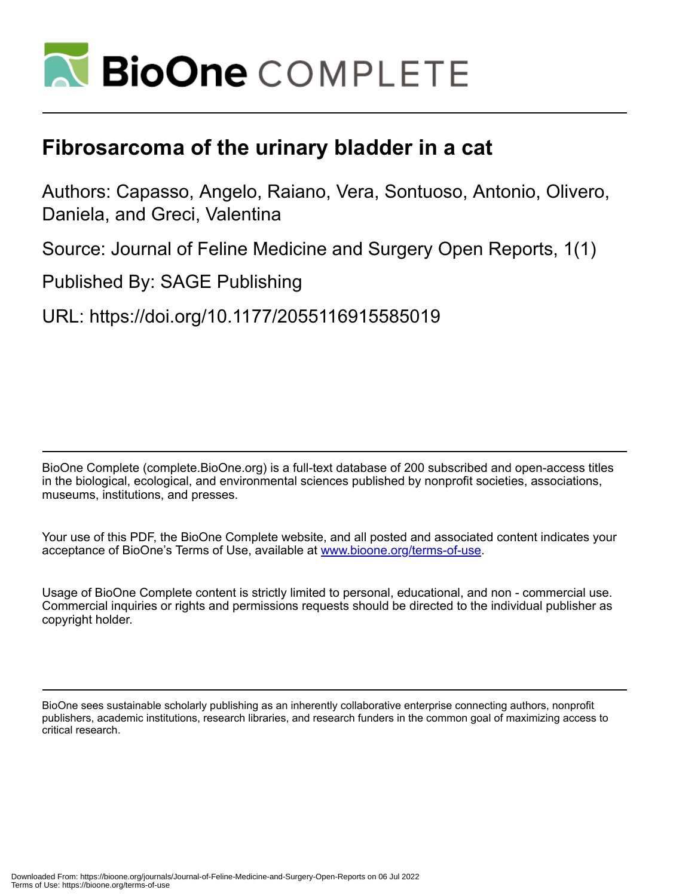

# **Fibrosarcoma of the urinary bladder in a cat**

Authors: Capasso, Angelo, Raiano, Vera, Sontuoso, Antonio, Olivero, Daniela, and Greci, Valentina

Source: Journal of Feline Medicine and Surgery Open Reports, 1(1)

Published By: SAGE Publishing

URL: https://doi.org/10.1177/2055116915585019

BioOne Complete (complete.BioOne.org) is a full-text database of 200 subscribed and open-access titles in the biological, ecological, and environmental sciences published by nonprofit societies, associations, museums, institutions, and presses.

Your use of this PDF, the BioOne Complete website, and all posted and associated content indicates your acceptance of BioOne's Terms of Use, available at www.bioone.org/terms-of-use.

Usage of BioOne Complete content is strictly limited to personal, educational, and non - commercial use. Commercial inquiries or rights and permissions requests should be directed to the individual publisher as copyright holder.

BioOne sees sustainable scholarly publishing as an inherently collaborative enterprise connecting authors, nonprofit publishers, academic institutions, research libraries, and research funders in the common goal of maximizing access to critical research.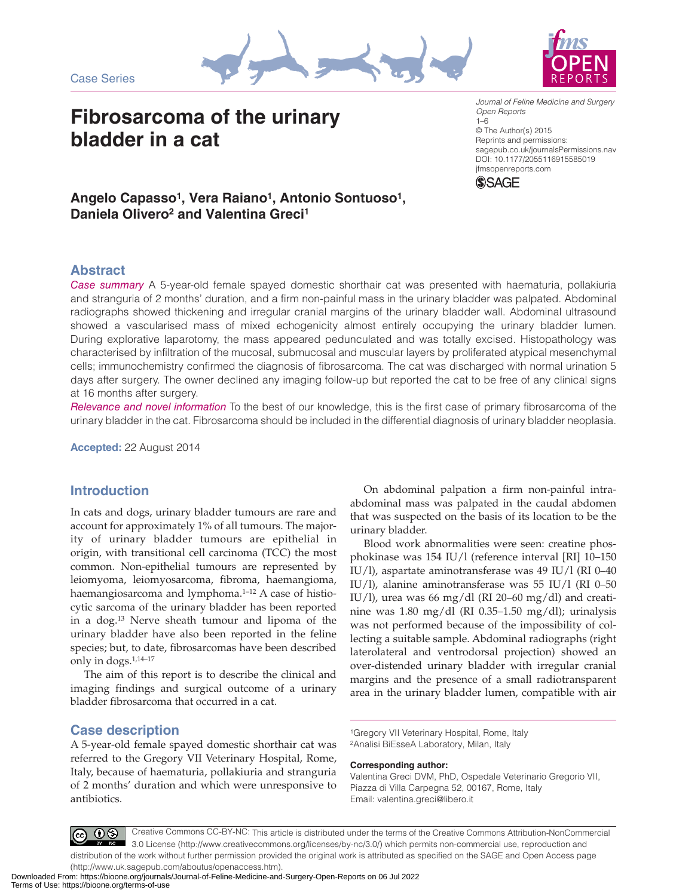Case Series





## **Fibrosarcoma of the urinary bladder in a cat**

*Journal of Feline Medicine and Surgery Open Reports*  $1 - 6$ © The Author(s) 2015 Reprints and permissions: sagepub.co.uk/journalsPermissions.nav DOI: 10.1177/2055116915585019 jfmsopenreports.com



### **Angelo Capasso1, Vera Raiano1, Antonio Sontuoso1, Daniela Olivero2 and Valentina Greci1**

#### **Abstract**

*Case summary* A 5-year-old female spayed domestic shorthair cat was presented with haematuria, pollakiuria and stranguria of 2 months' duration, and a firm non-painful mass in the urinary bladder was palpated. Abdominal radiographs showed thickening and irregular cranial margins of the urinary bladder wall. Abdominal ultrasound showed a vascularised mass of mixed echogenicity almost entirely occupying the urinary bladder lumen. During explorative laparotomy, the mass appeared pedunculated and was totally excised. Histopathology was characterised by infiltration of the mucosal, submucosal and muscular layers by proliferated atypical mesenchymal cells; immunochemistry confirmed the diagnosis of fibrosarcoma. The cat was discharged with normal urination 5 days after surgery. The owner declined any imaging follow-up but reported the cat to be free of any clinical signs at 16 months after surgery.

*Relevance and novel information* To the best of our knowledge, this is the first case of primary fibrosarcoma of the urinary bladder in the cat. Fibrosarcoma should be included in the differential diagnosis of urinary bladder neoplasia.

**Accepted:** 22 August 2014

#### **Introduction**

In cats and dogs, urinary bladder tumours are rare and account for approximately 1% of all tumours. The majority of urinary bladder tumours are epithelial in origin, with transitional cell carcinoma (TCC) the most common. Non-epithelial tumours are represented by leiomyoma, leiomyosarcoma, fibroma, haemangioma, haemangiosarcoma and lymphoma.<sup>1-12</sup> A case of histiocytic sarcoma of the urinary bladder has been reported in a dog.13 Nerve sheath tumour and lipoma of the urinary bladder have also been reported in the feline species; but, to date, fibrosarcomas have been described only in dogs.1,14–17

The aim of this report is to describe the clinical and imaging findings and surgical outcome of a urinary bladder fibrosarcoma that occurred in a cat.

#### **Case description**

A 5-year-old female spayed domestic shorthair cat was referred to the Gregory VII Veterinary Hospital, Rome, Italy, because of haematuria, pollakiuria and stranguria of 2 months' duration and which were unresponsive to antibiotics.

On abdominal palpation a firm non-painful intraabdominal mass was palpated in the caudal abdomen that was suspected on the basis of its location to be the urinary bladder.

Blood work abnormalities were seen: creatine phosphokinase was 154 IU/l (reference interval [RI] 10–150 IU/l), aspartate aminotransferase was 49 IU/l (RI 0–40 IU/l), alanine aminotransferase was 55 IU/l (RI 0–50 IU/l), urea was 66 mg/dl (RI 20–60 mg/dl) and creatinine was 1.80 mg/dl (RI 0.35–1.50 mg/dl); urinalysis was not performed because of the impossibility of collecting a suitable sample. Abdominal radiographs (right laterolateral and ventrodorsal projection) showed an over-distended urinary bladder with irregular cranial margins and the presence of a small radiotransparent area in the urinary bladder lumen, compatible with air

1Gregory VII Veterinary Hospital, Rome, Italy 2Analisi BiEsseA Laboratory, Milan, Italy

**Corresponding author:**

Valentina Greci DVM, PhD, Ospedale Veterinario Gregorio VII, Piazza di Villa Carpegna 52, 00167, Rome, Italy Email: [valentina.greci@libero.it](mailto:valentina.greci@libero.it)



Creative Commons CC-BY-NC: This article is distributed under the terms of the Creative Commons Attribution-NonCommercial 3.0 License (http://www.creativecommons.org/licenses/by-nc/3.0/) which permits non-commercial use, reproduction and distribution of the work without further permission provided the original work is attributed as specified on the SAGE and Open Access page (http://www.uk.sagepub.com/aboutus/openaccess.htm).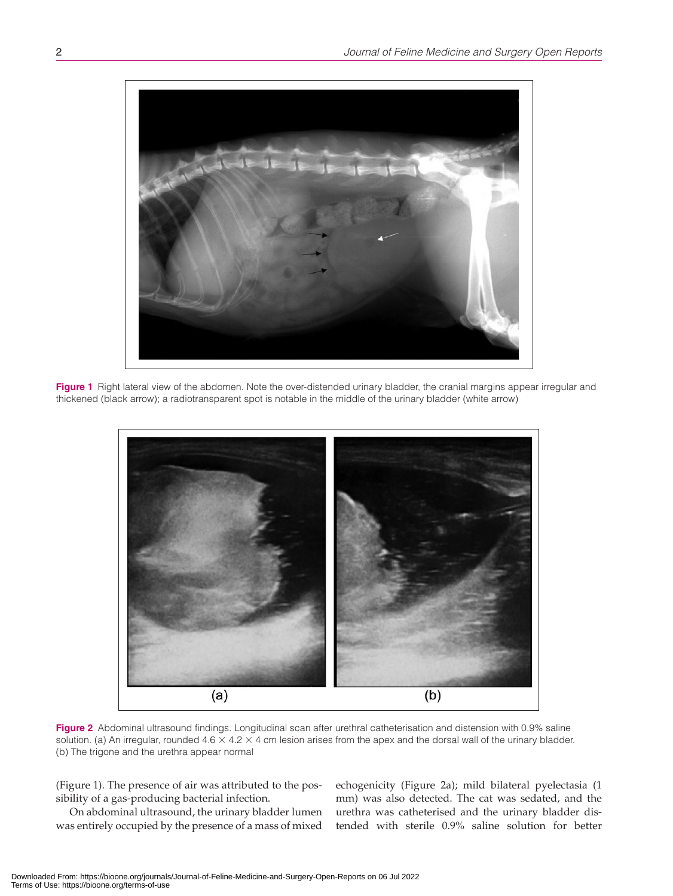

**Figure 1** Right lateral view of the abdomen. Note the over-distended urinary bladder, the cranial margins appear irregular and thickened (black arrow); a radiotransparent spot is notable in the middle of the urinary bladder (white arrow)



**Figure 2** Abdominal ultrasound findings. Longitudinal scan after urethral catheterisation and distension with 0.9% saline solution. (a) An irregular, rounded 4.6  $\times$  4.2  $\times$  4 cm lesion arises from the apex and the dorsal wall of the urinary bladder. (b) The trigone and the urethra appear normal

(Figure 1). The presence of air was attributed to the possibility of a gas-producing bacterial infection.

On abdominal ultrasound, the urinary bladder lumen was entirely occupied by the presence of a mass of mixed

echogenicity (Figure 2a); mild bilateral pyelectasia (1 mm) was also detected. The cat was sedated, and the urethra was catheterised and the urinary bladder distended with sterile 0.9% saline solution for better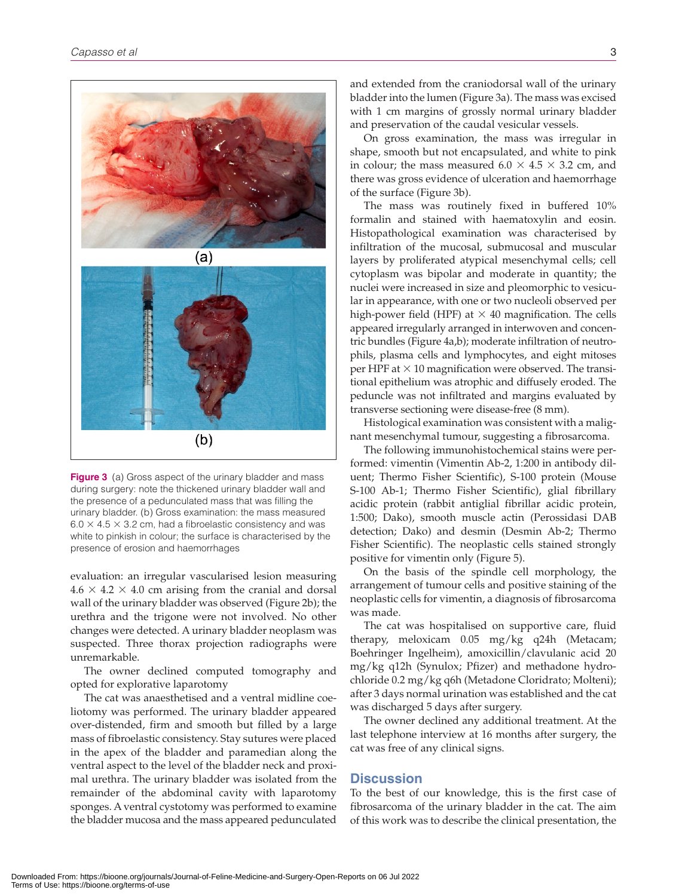



**Figure 3** (a) Gross aspect of the urinary bladder and mass during surgery: note the thickened urinary bladder wall and the presence of a pedunculated mass that was filling the urinary bladder. (b) Gross examination: the mass measured  $6.0 \times 4.5 \times 3.2$  cm, had a fibroelastic consistency and was white to pinkish in colour; the surface is characterised by the presence of erosion and haemorrhages

evaluation: an irregular vascularised lesion measuring  $4.6 \times 4.2 \times 4.0$  cm arising from the cranial and dorsal wall of the urinary bladder was observed (Figure 2b); the urethra and the trigone were not involved. No other changes were detected. A urinary bladder neoplasm was suspected. Three thorax projection radiographs were unremarkable.

The owner declined computed tomography and opted for explorative laparotomy

The cat was anaesthetised and a ventral midline coeliotomy was performed. The urinary bladder appeared over-distended, firm and smooth but filled by a large mass of fibroelastic consistency. Stay sutures were placed in the apex of the bladder and paramedian along the ventral aspect to the level of the bladder neck and proximal urethra. The urinary bladder was isolated from the remainder of the abdominal cavity with laparotomy sponges. A ventral cystotomy was performed to examine the bladder mucosa and the mass appeared pedunculated

and extended from the craniodorsal wall of the urinary bladder into the lumen (Figure 3a). The mass was excised with 1 cm margins of grossly normal urinary bladder and preservation of the caudal vesicular vessels.

On gross examination, the mass was irregular in shape, smooth but not encapsulated, and white to pink in colour; the mass measured  $6.0 \times 4.5 \times 3.2$  cm, and there was gross evidence of ulceration and haemorrhage of the surface (Figure 3b).

The mass was routinely fixed in buffered 10% formalin and stained with haematoxylin and eosin. Histopathological examination was characterised by infiltration of the mucosal, submucosal and muscular layers by proliferated atypical mesenchymal cells; cell cytoplasm was bipolar and moderate in quantity; the nuclei were increased in size and pleomorphic to vesicular in appearance, with one or two nucleoli observed per high-power field (HPF) at  $\times$  40 magnification. The cells appeared irregularly arranged in interwoven and concentric bundles (Figure 4a,b); moderate infiltration of neutrophils, plasma cells and lymphocytes, and eight mitoses per HPF at  $\times$  10 magnification were observed. The transitional epithelium was atrophic and diffusely eroded. The peduncle was not infiltrated and margins evaluated by transverse sectioning were disease-free (8 mm).

Histological examination was consistent with a malignant mesenchymal tumour, suggesting a fibrosarcoma.

The following immunohistochemical stains were performed: vimentin (Vimentin Ab-2, 1:200 in antibody diluent; Thermo Fisher Scientific), S-100 protein (Mouse S-100 Ab-1; Thermo Fisher Scientific), glial fibrillary acidic protein (rabbit antiglial fibrillar acidic protein, 1:500; Dako), smooth muscle actin (Perossidasi DAB detection; Dako) and desmin (Desmin Ab-2; Thermo Fisher Scientific). The neoplastic cells stained strongly positive for vimentin only (Figure 5).

On the basis of the spindle cell morphology, the arrangement of tumour cells and positive staining of the neoplastic cells for vimentin, a diagnosis of fibrosarcoma was made.

The cat was hospitalised on supportive care, fluid therapy, meloxicam 0.05 mg/kg q24h (Metacam; Boehringer Ingelheim), amoxicillin/clavulanic acid 20 mg/kg q12h (Synulox; Pfizer) and methadone hydrochloride 0.2 mg/kg q6h (Metadone Cloridrato; Molteni); after 3 days normal urination was established and the cat was discharged 5 days after surgery.

The owner declined any additional treatment. At the last telephone interview at 16 months after surgery, the cat was free of any clinical signs.

#### **Discussion**

To the best of our knowledge, this is the first case of fibrosarcoma of the urinary bladder in the cat. The aim of this work was to describe the clinical presentation, the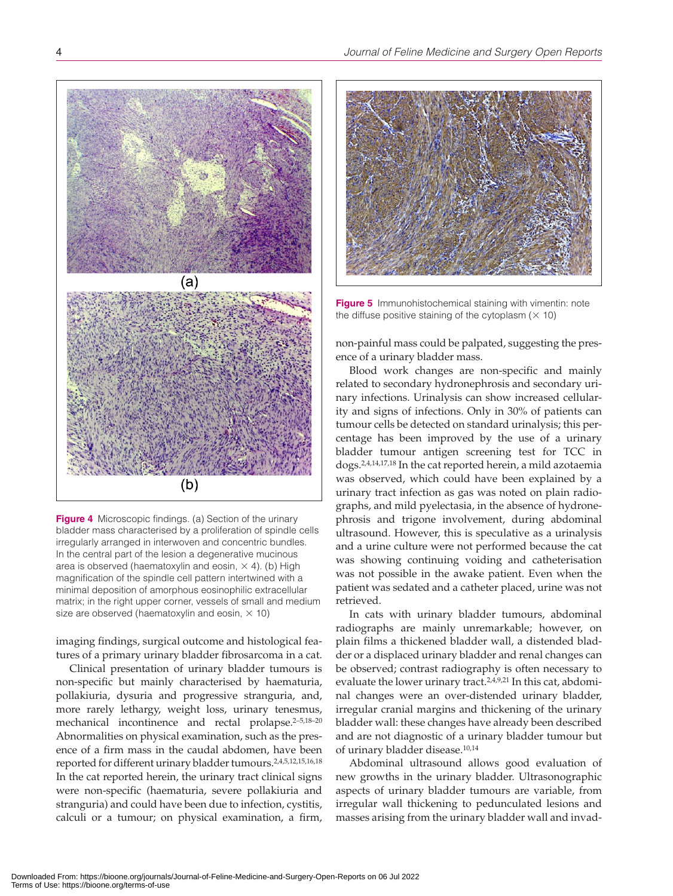

**Figure 4** Microscopic findings. (a) Section of the urinary bladder mass characterised by a proliferation of spindle cells irregularly arranged in interwoven and concentric bundles. In the central part of the lesion a degenerative mucinous area is observed (haematoxylin and eosin,  $\times$  4). (b) High magnification of the spindle cell pattern intertwined with a minimal deposition of amorphous eosinophilic extracellular matrix; in the right upper corner, vessels of small and medium size are observed (haematoxylin and eosin,  $\times$  10)

imaging findings, surgical outcome and histological features of a primary urinary bladder fibrosarcoma in a cat.

Clinical presentation of urinary bladder tumours is non-specific but mainly characterised by haematuria, pollakiuria, dysuria and progressive stranguria, and, more rarely lethargy, weight loss, urinary tenesmus, mechanical incontinence and rectal prolapse.2–5,18–20 Abnormalities on physical examination, such as the presence of a firm mass in the caudal abdomen, have been reported for different urinary bladder tumours.2,4,5,12,15,16,18 In the cat reported herein, the urinary tract clinical signs were non-specific (haematuria, severe pollakiuria and stranguria) and could have been due to infection, cystitis, calculi or a tumour; on physical examination, a firm,



**Figure 5** Immunohistochemical staining with vimentin: note the diffuse positive staining of the cytoplasm  $(x 10)$ 

non-painful mass could be palpated, suggesting the presence of a urinary bladder mass.

Blood work changes are non-specific and mainly related to secondary hydronephrosis and secondary urinary infections. Urinalysis can show increased cellularity and signs of infections. Only in 30% of patients can tumour cells be detected on standard urinalysis; this percentage has been improved by the use of a urinary bladder tumour antigen screening test for TCC in dogs.2,4,14,17,18 In the cat reported herein, a mild azotaemia was observed, which could have been explained by a urinary tract infection as gas was noted on plain radiographs, and mild pyelectasia, in the absence of hydronephrosis and trigone involvement, during abdominal ultrasound. However, this is speculative as a urinalysis and a urine culture were not performed because the cat was showing continuing voiding and catheterisation was not possible in the awake patient. Even when the patient was sedated and a catheter placed, urine was not retrieved.

In cats with urinary bladder tumours, abdominal radiographs are mainly unremarkable; however, on plain films a thickened bladder wall, a distended bladder or a displaced urinary bladder and renal changes can be observed; contrast radiography is often necessary to evaluate the lower urinary tract.<sup>2,4,9,21</sup> In this cat, abdominal changes were an over-distended urinary bladder, irregular cranial margins and thickening of the urinary bladder wall: these changes have already been described and are not diagnostic of a urinary bladder tumour but of urinary bladder disease.10,14

Abdominal ultrasound allows good evaluation of new growths in the urinary bladder. Ultrasonographic aspects of urinary bladder tumours are variable, from irregular wall thickening to pedunculated lesions and masses arising from the urinary bladder wall and invad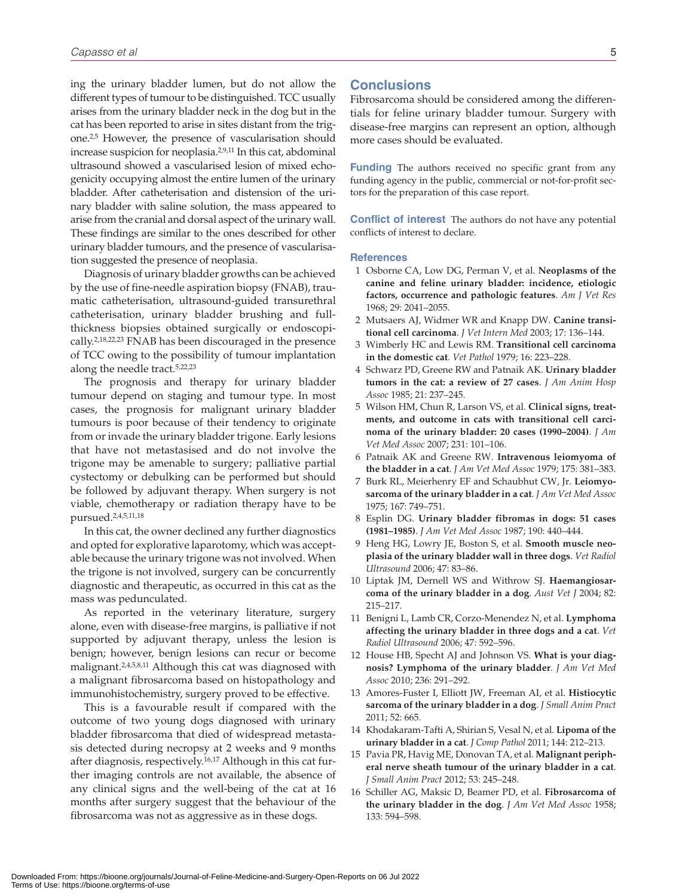ing the urinary bladder lumen, but do not allow the different types of tumour to be distinguished. TCC usually arises from the urinary bladder neck in the dog but in the cat has been reported to arise in sites distant from the trigone.<sup>2,5</sup> However, the presence of vascularisation should increase suspicion for neoplasia.2,9,11 In this cat, abdominal ultrasound showed a vascularised lesion of mixed echogenicity occupying almost the entire lumen of the urinary bladder. After catheterisation and distension of the urinary bladder with saline solution, the mass appeared to arise from the cranial and dorsal aspect of the urinary wall. These findings are similar to the ones described for other urinary bladder tumours, and the presence of vascularisation suggested the presence of neoplasia.

Diagnosis of urinary bladder growths can be achieved by the use of fine-needle aspiration biopsy (FNAB), traumatic catheterisation, ultrasound-guided transurethral catheterisation, urinary bladder brushing and fullthickness biopsies obtained surgically or endoscopically.2,18,22,23 FNAB has been discouraged in the presence of TCC owing to the possibility of tumour implantation along the needle tract.5,22,23

The prognosis and therapy for urinary bladder tumour depend on staging and tumour type. In most cases, the prognosis for malignant urinary bladder tumours is poor because of their tendency to originate from or invade the urinary bladder trigone. Early lesions that have not metastasised and do not involve the trigone may be amenable to surgery; palliative partial cystectomy or debulking can be performed but should be followed by adjuvant therapy. When surgery is not viable, chemotherapy or radiation therapy have to be pursued.2,4,5,11,18

In this cat, the owner declined any further diagnostics and opted for explorative laparotomy, which was acceptable because the urinary trigone was not involved. When the trigone is not involved, surgery can be concurrently diagnostic and therapeutic, as occurred in this cat as the mass was pedunculated.

As reported in the veterinary literature, surgery alone, even with disease-free margins, is palliative if not supported by adjuvant therapy, unless the lesion is benign; however, benign lesions can recur or become malignant.2,4,5,8,11 Although this cat was diagnosed with a malignant fibrosarcoma based on histopathology and immunohistochemistry, surgery proved to be effective.

This is a favourable result if compared with the outcome of two young dogs diagnosed with urinary bladder fibrosarcoma that died of widespread metastasis detected during necropsy at 2 weeks and 9 months after diagnosis, respectively.16,17 Although in this cat further imaging controls are not available, the absence of any clinical signs and the well-being of the cat at 16 months after surgery suggest that the behaviour of the fibrosarcoma was not as aggressive as in these dogs.

#### **Conclusions**

Fibrosarcoma should be considered among the differentials for feline urinary bladder tumour. Surgery with disease-free margins can represent an option, although more cases should be evaluated.

Funding The authors received no specific grant from any funding agency in the public, commercial or not-for-profit sectors for the preparation of this case report.

**Conflict of interest** The authors do not have any potential conflicts of interest to declare.

#### **References**

- 1 Osborne CA, Low DG, Perman V, et al. **Neoplasms of the canine and feline urinary bladder: incidence, etiologic factors, occurrence and pathologic features**. *Am J Vet Res* 1968; 29: 2041–2055.
- 2 Mutsaers AJ, Widmer WR and Knapp DW. **Canine transitional cell carcinoma**. *J Vet Intern Med* 2003; 17: 136–144.
- 3 Wimberly HC and Lewis RM. **Transitional cell carcinoma in the domestic cat**. *Vet Pathol* 1979; 16: 223–228.
- 4 Schwarz PD, Greene RW and Patnaik AK. **Urinary bladder tumors in the cat: a review of 27 cases**. *J Am Anim Hosp Assoc* 1985; 21: 237–245.
- 5 Wilson HM, Chun R, Larson VS, et al. **Clinical signs, treatments, and outcome in cats with transitional cell carcinoma of the urinary bladder: 20 cases (1990–2004)**. *J Am Vet Med Assoc* 2007; 231: 101–106.
- 6 Patnaik AK and Greene RW. **Intravenous leiomyoma of the bladder in a cat**. *J Am Vet Med Assoc* 1979; 175: 381–383.
- 7 Burk RL, Meierhenry EF and Schaubhut CW, Jr. **Leiomyosarcoma of the urinary bladder in a cat**. *J Am Vet Med Assoc* 1975; 167: 749–751.
- 8 Esplin DG. **Urinary bladder fibromas in dogs: 51 cases (1981–1985)**. *J Am Vet Med Assoc* 1987; 190: 440–444.
- 9 Heng HG, Lowry JE, Boston S, et al. **Smooth muscle neoplasia of the urinary bladder wall in three dogs**. *Vet Radiol Ultrasound* 2006; 47: 83–86.
- 10 Liptak JM, Dernell WS and Withrow SJ. **Haemangiosarcoma of the urinary bladder in a dog**. *Aust Vet J* 2004; 82: 215–217.
- 11 Benigni L, Lamb CR, Corzo-Menendez N, et al. **Lymphoma affecting the urinary bladder in three dogs and a cat**. *Vet Radiol Ultrasound* 2006; 47: 592–596.
- 12 House HB, Specht AJ and Johnson VS. **What is your diagnosis? Lymphoma of the urinary bladder**. *J Am Vet Med Assoc* 2010; 236: 291–292.
- 13 Amores-Fuster I, Elliott JW, Freeman AI, et al. **Histiocytic sarcoma of the urinary bladder in a dog**. *J Small Anim Pract* 2011; 52: 665.
- 14 Khodakaram-Tafti A, Shirian S, Vesal N, et al. **Lipoma of the urinary bladder in a cat**. *J Comp Pathol* 2011; 144: 212–213.
- 15 Pavia PR, Havig ME, Donovan TA, et al. **Malignant peripheral nerve sheath tumour of the urinary bladder in a cat**. *J Small Anim Pract* 2012; 53: 245–248.
- 16 Schiller AG, Maksic D, Beamer PD, et al. **Fibrosarcoma of the urinary bladder in the dog**. *J Am Vet Med Assoc* 1958; 133: 594–598.